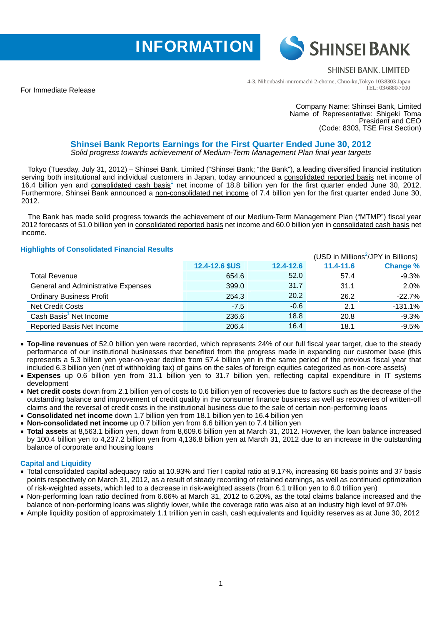



# **SHINSEI BANK, LIMITED**

4-3, Nihonbashi-muromachi 2-chome, Chuo-ku,Tokyo 103-8303 Japan TEL: 03-6880-7000

For Immediate Release

Company Name: Shinsei Bank, Limited Name of Representative: Shigeki Toma President and CEO (Code: 8303, TSE First Section)

## **Shinsei Bank Reports Earnings for the First Quarter Ended June 30, 2012**  *Solid progress towards achievement of Medium-Term Management Plan final year targets*

Tokyo (Tuesday, July 31, 2012) – Shinsei Bank, Limited ("Shinsei Bank; "the Bank"), a leading diversified financial institution serving both institutional and individual customers in Japan, today announced a consolidated reported basis net income of 16.4 billion yen and consolidated cash basis<sup>1</sup> net income of 18.8 billion yen for the first quarter ended June 30, 2012. Furthermore, Shinsei Bank announced a non-consolidated net income of 7.4 billion yen for the first quarter ended June 30, 2012.

The Bank has made solid progress towards the achievement of our Medium-Term Management Plan ("MTMP") fiscal year 2012 forecasts of 51.0 billion yen in consolidated reported basis net income and 60.0 billion yen in consolidated cash basis net income.

# **Highlights of Consolidated Financial Results**

| <b>Expressed to the concentration</b> in intervalse recognition | (USD in Millions <sup>2</sup> /JPY in Billions) |           |           |                 |  |
|-----------------------------------------------------------------|-------------------------------------------------|-----------|-----------|-----------------|--|
|                                                                 | 12.4-12.6 \$US                                  | 12.4-12.6 | 11.4-11.6 | <b>Change %</b> |  |
| <b>Total Revenue</b>                                            | 654.6                                           | 52.0      | 57.4      | $-9.3%$         |  |
| General and Administrative Expenses                             | 399.0                                           | 31.7      | 31.1      | 2.0%            |  |
| <b>Ordinary Business Profit</b>                                 | 254.3                                           | 20.2      | 26.2      | $-22.7%$        |  |
| <b>Net Credit Costs</b>                                         | $-7.5$                                          | $-0.6$    | 2.1       | $-131.1%$       |  |
| Cash Basis <sup>1</sup> Net Income                              | 236.6                                           | 18.8      | 20.8      | $-9.3%$         |  |
| Reported Basis Net Income                                       | 206.4                                           | 16.4      | 18.1      | $-9.5%$         |  |

- **Top-line revenues** of 52.0 billion yen were recorded, which represents 24% of our full fiscal year target, due to the steady performance of our institutional businesses that benefited from the progress made in expanding our customer base (this represents a 5.3 billion yen year-on-year decline from 57.4 billion yen in the same period of the previous fiscal year that included 6.3 billion yen (net of withholding tax) of gains on the sales of foreign equities categorized as non-core assets)
- **Expenses** up 0.6 billion yen from 31.1 billion yen to 31.7 billion yen, reflecting capital expenditure in IT systems development
- **Net credit costs** down from 2.1 billion yen of costs to 0.6 billion yen of recoveries due to factors such as the decrease of the outstanding balance and improvement of credit quality in the consumer finance business as well as recoveries of written-off claims and the reversal of credit costs in the institutional business due to the sale of certain non-performing loans
- **Consolidated net income** down 1.7 billion yen from 18.1 billion yen to 16.4 billion yen
- **Non-consolidated net income** up 0.7 billion yen from 6.6 billion yen to 7.4 billion yen
- **Total assets** at 8,563.1 billion yen, down from 8,609.6 billion yen at March 31, 2012. However, the loan balance increased by 100.4 billion yen to 4,237.2 billion yen from 4,136.8 billion yen at March 31, 2012 due to an increase in the outstanding balance of corporate and housing loans

#### **Capital and Liquidity**

- Total consolidated capital adequacy ratio at 10.93% and Tier I capital ratio at 9.17%, increasing 66 basis points and 37 basis points respectively on March 31, 2012, as a result of steady recording of retained earnings, as well as continued optimization of risk-weighted assets, which led to a decrease in risk-weighted assets (from 6.1 trillion yen to 6.0 trillion yen)
- Non-performing loan ratio declined from 6.66% at March 31, 2012 to 6.20%, as the total claims balance increased and the balance of non-performing loans was slightly lower, while the coverage ratio was also at an industry high level of 97.0%
- Ample liquidity position of approximately 1.1 trillion yen in cash, cash equivalents and liquidity reserves as at June 30, 2012